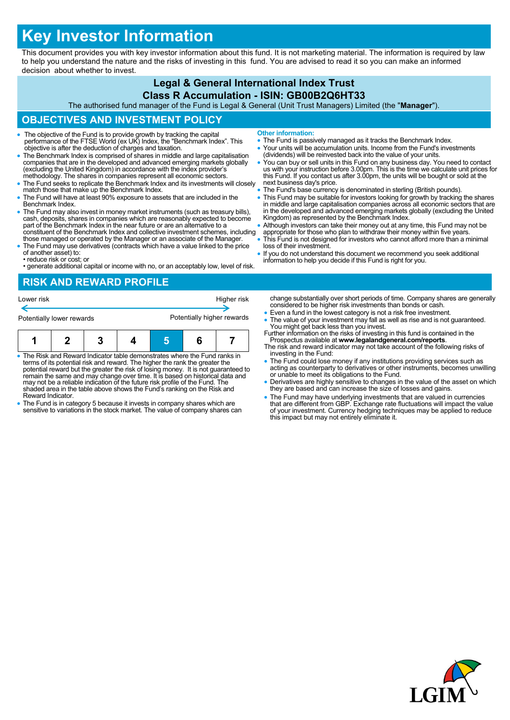# **Key Investor Information**

This document provides you with key investor information about this fund. It is not marketing material. The information is required by law to help you understand the nature and the risks of investing in this fund. You are advised to read it so you can make an informed decision about whether to invest.

#### **Legal & General International Index Trust Class R Accumulation - ISIN: GB00B2Q6HT33**

The authorised fund manager of the Fund is Legal & General (Unit Trust Managers) Limited (the "**Manager**").

## **OBJECTIVES AND INVESTMENT POLICY**

- The objective of the Fund is to provide growth by tracking the capital performance of the FTSE World (ex UK) Index, the "Benchmark Index". This objective is after the deduction of charges and taxation.
- The Benchmark Index is comprised of shares in middle and large capitalisation companies that are in the developed and advanced emerging markets globally (excluding the United Kingdom) in accordance with the index provider's methodology. The shares in companies represent all economic sectors.
- The Fund seeks to replicate the Benchmark Index and its investments will closely match those that make up the Benchmark Index.
- The Fund will have at least 90% exposure to assets that are included in the Benchmark Index.
- The Fund may also invest in money market instruments (such as treasury bills), cash, deposits, shares in companies which are reasonably expected to become part of the Benchmark Index in the near future or are an alternative to a constituent of the Benchmark Index and collective investment schemes, including those managed or operated by the Manager or an associate of the Manager.
- The Fund may use derivatives (contracts which have a value linked to the price of another asset) to:
- reduce risk or cost; or
- generate additional capital or income with no, or an acceptably low, level of risk.
- **Other information:**
- The Fund is passively managed as it tracks the Benchmark Index.
- Your units will be accumulation units. Income from the Fund's investments (dividends) will be reinvested back into the value of your units.
- You can buy or sell units in this Fund on any business day. You need to contact us with your instruction before 3.00pm. This is the time we calculate unit prices for this Fund. If you contact us after 3.00pm, the units will be bought or sold at the next business day's price.
- The Fund's base currency is denominated in sterling (British pounds).
- This Fund may be suitable for investors looking for growth by tracking the shares in middle and large capitalisation companies across all economic sectors that are in the developed and advanced emerging markets globally (excluding the United Kingdom) as represented by the Benchmark Index.
- Although investors can take their money out at any time, this Fund may not be appropriate for those who plan to withdraw their money within five years.
- This Fund is not designed for investors who cannot afford more than a minimal loss of their investment.
- If you do not understand this document we recommend you seek additional information to help you decide if this Fund is right for you.

### **RISK AND REWARD PROFILE**



- The Risk and Reward Indicator table demonstrates where the Fund ranks in terms of its potential risk and reward. The higher the rank the greater the potential reward but the greater the risk of losing money. It is not guaranteed to remain the same and may change over time. It is based on historical data and may not be a reliable indication of the future risk profile of the Fund. The shaded area in the table above shows the Fund's ranking on the Risk and Reward Indicator.
- The Fund is in category 5 because it invests in company shares which are sensitive to variations in the stock market. The value of company shares can
- change substantially over short periods of time. Company shares are generally considered to be higher risk investments than bonds or cash. Even a fund in the lowest category is not a risk free investment.
- The value of your investment may fall as well as rise and is not guaranteed. You might get back less than you invest.
- Further information on the risks of investing in this fund is contained in the Prospectus available at **www.legalandgeneral.com/reports**.
- The risk and reward indicator may not take account of the following risks of investing in the Fund:
- The Fund could lose money if any institutions providing services such as acting as counterparty to derivatives or other instruments, becomes unwilling or unable to meet its obligations to the Fund.
- Derivatives are highly sensitive to changes in the value of the asset on which they are based and can increase the size of losses and gains.
- The Fund may have underlying investments that are valued in currencies that are different from GBP. Exchange rate fluctuations will impact the value of your investment. Currency hedging techniques may be applied to reduce this impact but may not entirely eliminate it.